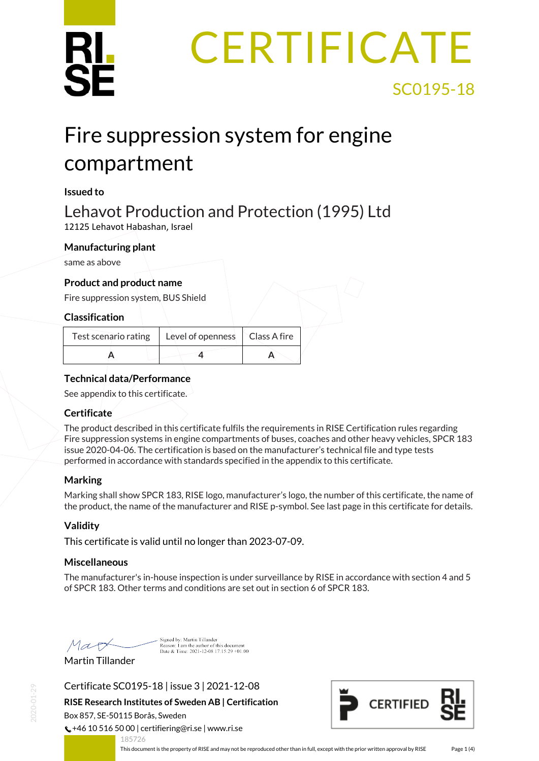# **RL<br>SE**

## **CERTIFICATE** SC0195-18

### Fire suppression system for engine compartment

#### **Issued to**

#### Lehavot Production and Protection (1995) Ltd 12125 Lehavot Habashan, Israel

#### **Manufacturing plant**

same as above

#### **Product and product name**

Fire suppression system, BUS Shield

#### **Classification**

| Test scenario rating | Level of openness   Class A fire |  |
|----------------------|----------------------------------|--|
|                      |                                  |  |

#### **Technical data/Performance**

See appendix to this certificate.

#### **Certificate**

The product described in this certificate fulfils the requirements in RISE Certification rules regarding Fire suppression systems in engine compartments of buses, coaches and other heavy vehicles, SPCR 183 issue 2020-04-06. The certification is based on the manufacturer's technical file and type tests performed in accordance with standards specified in the appendix to this certificate.

#### **Marking**

Marking shall show SPCR 183, RISE logo, manufacturer's logo, the number of this certificate, the name of the product, the name of the manufacturer and RISE p-symbol. See last page in this certificate for details.

#### **Validity**

This certificate is valid until no longer than 2023-07-09.

#### **Miscellaneous**

The manufacturer's in-house inspection is under surveillance by RISE in accordance with section 4 and 5 of SPCR 183. Other terms and conditions are set out in section 6 of SPCR 183.

Mag

Signed by: Martin Tillander Reason: I am the author of this document<br>Date & Time:  $2021-12-08$  17:15:29 +01:00

Martin Tillander

Certificate SC0195-18 | issue 3 | 2021-12-08

**RISE Research Institutes of Sweden AB | Certification** Box 857, SE-50115 Borås, Sweden

+46 10 516 50 00 | certifiering@ri.se | www.ri.se

<span id="page-0-0"></span>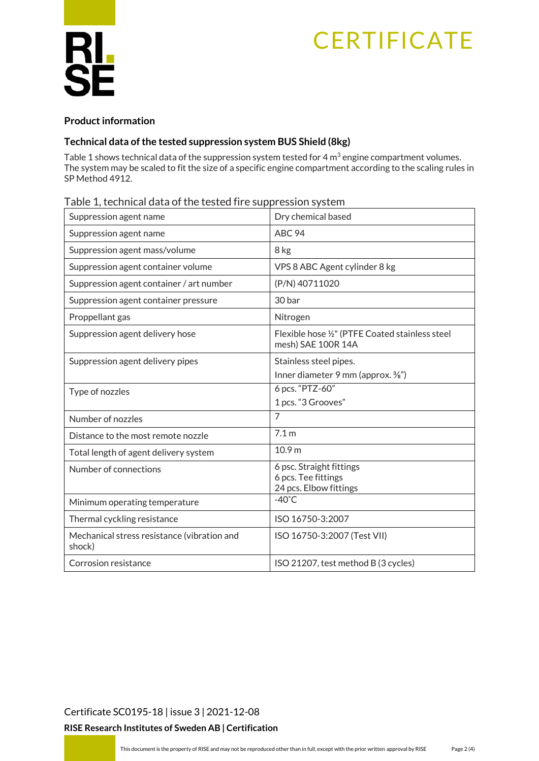## **CERTIFICATE**



#### **Product information**

#### **Technical data of the tested suppression system BUS Shield (8kg)**

Table 1 shows technical data of the suppression system tested for  $4 \text{ m}^3$  engine compartment volumes. The system may be scaled to fit the size of a specific engine compartment according to the scaling rules in SP Method 4912.

| Table 1, rechnical data of the tested fire suppression system |                                                                           |
|---------------------------------------------------------------|---------------------------------------------------------------------------|
| Suppression agent name                                        | Dry chemical based                                                        |
| Suppression agent name                                        | <b>ABC 94</b>                                                             |
| Suppression agent mass/volume                                 | 8 kg                                                                      |
| Suppression agent container volume                            | VPS 8 ABC Agent cylinder 8 kg                                             |
| Suppression agent container / art number                      | (P/N) 40711020                                                            |
| Suppression agent container pressure                          | 30 bar                                                                    |
| Proppellant gas                                               | Nitrogen                                                                  |
| Suppression agent delivery hose                               | Flexible hose 1/2" (PTFE Coated stainless steel<br>mesh) SAE 100R 14A     |
| Suppression agent delivery pipes                              | Stainless steel pipes.<br>Inner diameter 9 mm (approx. 3/8")              |
| Type of nozzles                                               | 6 pcs. "PTZ-60"<br>1 pcs. "3 Grooves"                                     |
| Number of nozzles                                             | 7                                                                         |
| Distance to the most remote nozzle                            | 7.1 <sub>m</sub>                                                          |
| Total length of agent delivery system                         | 10.9 <sub>m</sub>                                                         |
| Number of connections                                         | 6 psc. Straight fittings<br>6 pcs. Tee fittings<br>24 pcs. Elbow fittings |
| Minimum operating temperature                                 | $-40^{\circ}$ C                                                           |
| Thermal cyckling resistance                                   | ISO 16750-3:2007                                                          |
| Mechanical stress resistance (vibration and<br>shock)         | ISO 16750-3:2007 (Test VII)                                               |
| Corrosion resistance                                          | ISO 21207, test method B (3 cycles)                                       |

#### Table 1, technical data of the tested fire suppression system

[Certificate SC0195-18](#page-0-0) | issue 3 | 2021-12-08

#### **RISE Research Institutes of Sweden AB | Certification**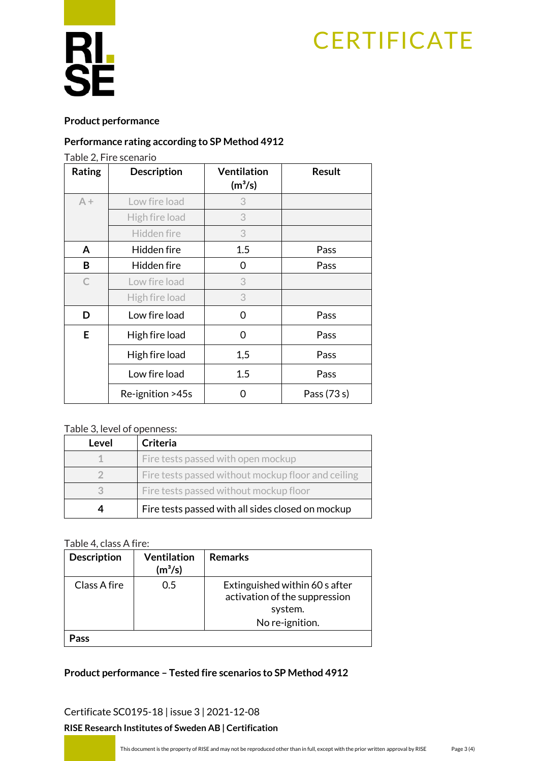## **CERTIFICATE**



#### **Product performance**

#### **Performance rating according to SP Method 4912**

Table 2, Fire scenario

| Rating    | <b>Description</b> | <b>Ventilation</b><br>(m <sup>3</sup> /s) | Result      |
|-----------|--------------------|-------------------------------------------|-------------|
| $A +$     | Low fire load      | 3                                         |             |
|           | High fire load     | 3                                         |             |
|           | Hidden fire        | 3                                         |             |
| A         | Hidden fire        | 1.5                                       | Pass        |
| B         | Hidden fire        | 0                                         | Pass        |
| $\subset$ | Low fire load      | 3                                         |             |
|           | High fire load     | 3                                         |             |
| D         | Low fire load      | 0                                         | Pass        |
| E         | High fire load     | 0                                         | Pass        |
|           | High fire load     | 1,5                                       | Pass        |
|           | Low fire load      | 1.5                                       | Pass        |
|           | Re-ignition >45s   | O                                         | Pass (73 s) |

#### Table 3, level of openness:

| Level | Criteria                                           |  |
|-------|----------------------------------------------------|--|
|       | Fire tests passed with open mockup                 |  |
|       | Fire tests passed without mockup floor and ceiling |  |
|       | Fire tests passed without mockup floor             |  |
|       | Fire tests passed with all sides closed on mockup  |  |

#### Table 4, class A fire:

| <b>Description</b> | <b>Ventilation</b><br>(m <sup>3</sup> /s) | <b>Remarks</b>                                                                                |
|--------------------|-------------------------------------------|-----------------------------------------------------------------------------------------------|
| Class A fire       | 0.5                                       | Extinguished within 60 s after<br>activation of the suppression<br>system.<br>No re-ignition. |
|                    |                                           |                                                                                               |

#### **Product performance – Tested fire scenarios to SP Method 4912**

[Certificate SC0195-18](#page-0-0) | issue 3 | 2021-12-08

#### **RISE Research Institutes of Sweden AB | Certification**